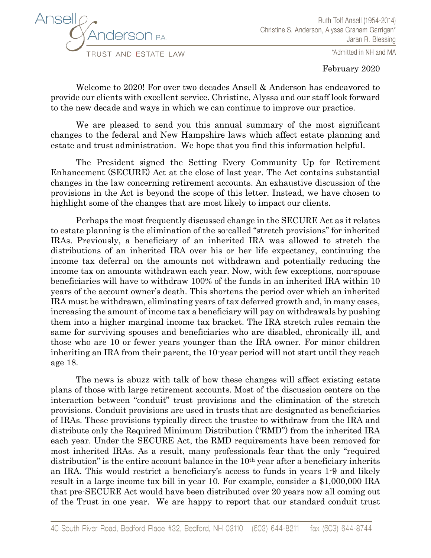

\*Admitted in NH and MA

February 2020

Welcome to 2020! For over two decades Ansell & Anderson has endeavored to provide our clients with excellent service. Christine, Alyssa and our staff look forward to the new decade and ways in which we can continue to improve our practice.

We are pleased to send you this annual summary of the most significant changes to the federal and New Hampshire laws which affect estate planning and estate and trust administration. We hope that you find this information helpful.

The President signed the Setting Every Community Up for Retirement Enhancement (SECURE) Act at the close of last year. The Act contains substantial changes in the law concerning retirement accounts. An exhaustive discussion of the provisions in the Act is beyond the scope of this letter. Instead, we have chosen to highlight some of the changes that are most likely to impact our clients.

Perhaps the most frequently discussed change in the SECURE Act as it relates to estate planning is the elimination of the so-called "stretch provisions" for inherited IRAs. Previously, a beneficiary of an inherited IRA was allowed to stretch the distributions of an inherited IRA over his or her life expectancy, continuing the income tax deferral on the amounts not withdrawn and potentially reducing the income tax on amounts withdrawn each year. Now, with few exceptions, non-spouse beneficiaries will have to withdraw 100% of the funds in an inherited IRA within 10 years of the account owner's death. This shortens the period over which an inherited IRA must be withdrawn, eliminating years of tax deferred growth and, in many cases, increasing the amount of income tax a beneficiary will pay on withdrawals by pushing them into a higher marginal income tax bracket. The IRA stretch rules remain the same for surviving spouses and beneficiaries who are disabled, chronically ill, and those who are 10 or fewer years younger than the IRA owner. For minor children inheriting an IRA from their parent, the 10-year period will not start until they reach age 18.

The news is abuzz with talk of how these changes will affect existing estate plans of those with large retirement accounts. Most of the discussion centers on the interaction between "conduit" trust provisions and the elimination of the stretch provisions. Conduit provisions are used in trusts that are designated as beneficiaries of IRAs. These provisions typically direct the trustee to withdraw from the IRA and distribute only the Required Minimum Distribution ("RMD") from the inherited IRA each year. Under the SECURE Act, the RMD requirements have been removed for most inherited IRAs. As a result, many professionals fear that the only "required distribution" is the entire account balance in the 10<sup>th</sup> year after a beneficiary inherits an IRA. This would restrict a beneficiary's access to funds in years 1-9 and likely result in a large income tax bill in year 10. For example, consider a \$1,000,000 IRA that pre-SECURE Act would have been distributed over 20 years now all coming out of the Trust in one year. We are happy to report that our standard conduit trust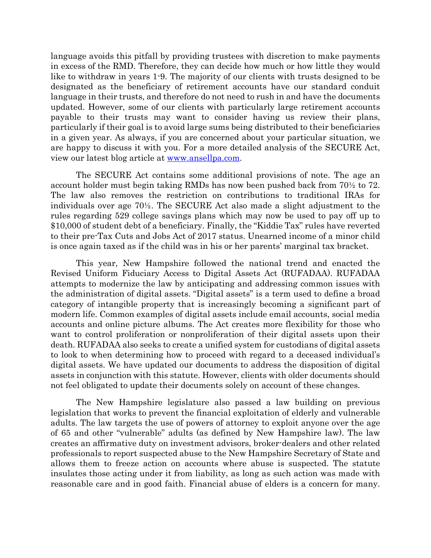language avoids this pitfall by providing trustees with discretion to make payments in excess of the RMD. Therefore, they can decide how much or how little they would like to withdraw in years 1-9. The majority of our clients with trusts designed to be designated as the beneficiary of retirement accounts have our standard conduit language in their trusts, and therefore do not need to rush in and have the documents updated. However, some of our clients with particularly large retirement accounts payable to their trusts may want to consider having us review their plans, particularly if their goal is to avoid large sums being distributed to their beneficiaries in a given year. As always, if you are concerned about your particular situation, we are happy to discuss it with you. For a more detailed analysis of the SECURE Act, view our latest blog article at [www.ansellpa.com.](http://www.ansellpa.com/)

The SECURE Act contains some additional provisions of note. The age an account holder must begin taking RMDs has now been pushed back from 70½ to 72. The law also removes the restriction on contributions to traditional IRAs for individuals over age 70½. The SECURE Act also made a slight adjustment to the rules regarding 529 college savings plans which may now be used to pay off up to \$10,000 of student debt of a beneficiary. Finally, the "Kiddie Tax" rules have reverted to their pre-Tax Cuts and Jobs Act of 2017 status. Unearned income of a minor child is once again taxed as if the child was in his or her parents' marginal tax bracket.

This year, New Hampshire followed the national trend and enacted the Revised Uniform Fiduciary Access to Digital Assets Act (RUFADAA). RUFADAA attempts to modernize the law by anticipating and addressing common issues with the administration of digital assets. "Digital assets" is a term used to define a broad category of intangible property that is increasingly becoming a significant part of modern life. Common examples of digital assets include email accounts, social media accounts and online picture albums. The Act creates more flexibility for those who want to control proliferation or nonproliferation of their digital assets upon their death. RUFADAA also seeks to create a unified system for custodians of digital assets to look to when determining how to proceed with regard to a deceased individual's digital assets. We have updated our documents to address the disposition of digital assets in conjunction with this statute. However, clients with older documents should not feel obligated to update their documents solely on account of these changes.

The New Hampshire legislature also passed a law building on previous legislation that works to prevent the financial exploitation of elderly and vulnerable adults. The law targets the use of powers of attorney to exploit anyone over the age of 65 and other "vulnerable" adults (as defined by New Hampshire law). The law creates an affirmative duty on investment advisors, broker-dealers and other related professionals to report suspected abuse to the New Hampshire Secretary of State and allows them to freeze action on accounts where abuse is suspected. The statute insulates those acting under it from liability, as long as such action was made with reasonable care and in good faith. Financial abuse of elders is a concern for many.